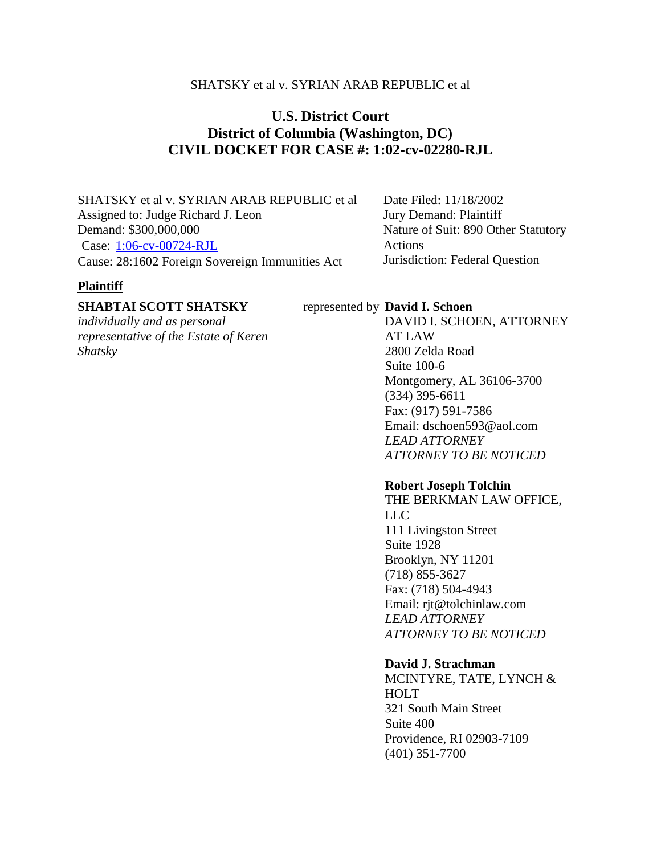# SHATSKY et al v. SYRIAN ARAB REPUBLIC et al

# **U.S. District Court District of Columbia (Washington, DC) CIVIL DOCKET FOR CASE #: 1:02-cv-02280-RJL**

SHATSKY et al v. SYRIAN ARAB REPUBLIC et al Assigned to: Judge Richard J. Leon Demand: \$300,000,000 Case: [1:06-cv-00724-RJL](https://ecf.dcd.uscourts.gov/cgi-bin/DktRpt.pl?120311) Cause: 28:1602 Foreign Sovereign Immunities Act

Date Filed: 11/18/2002 Jury Demand: Plaintiff Nature of Suit: 890 Other Statutory Actions Jurisdiction: Federal Question

# **Plaintiff**

# **SHABTAI SCOTT SHATSKY**

*individually and as personal representative of the Estate of Keren Shatsky*

### represented by **David I. Schoen**

DAVID I. SCHOEN, ATTORNEY AT LAW 2800 Zelda Road Suite 100-6 Montgomery, AL 36106-3700 (334) 395-6611 Fax: (917) 591-7586 Email: dschoen593@aol.com *LEAD ATTORNEY ATTORNEY TO BE NOTICED*

### **Robert Joseph Tolchin**

THE BERKMAN LAW OFFICE, LLC 111 Livingston Street Suite 1928 Brooklyn, NY 11201 (718) 855-3627 Fax: (718) 504-4943 Email: rjt@tolchinlaw.com *LEAD ATTORNEY ATTORNEY TO BE NOTICED*

### **David J. Strachman**

MCINTYRE, TATE, LYNCH & HOLT 321 South Main Street Suite 400 Providence, RI 02903-7109 (401) 351-7700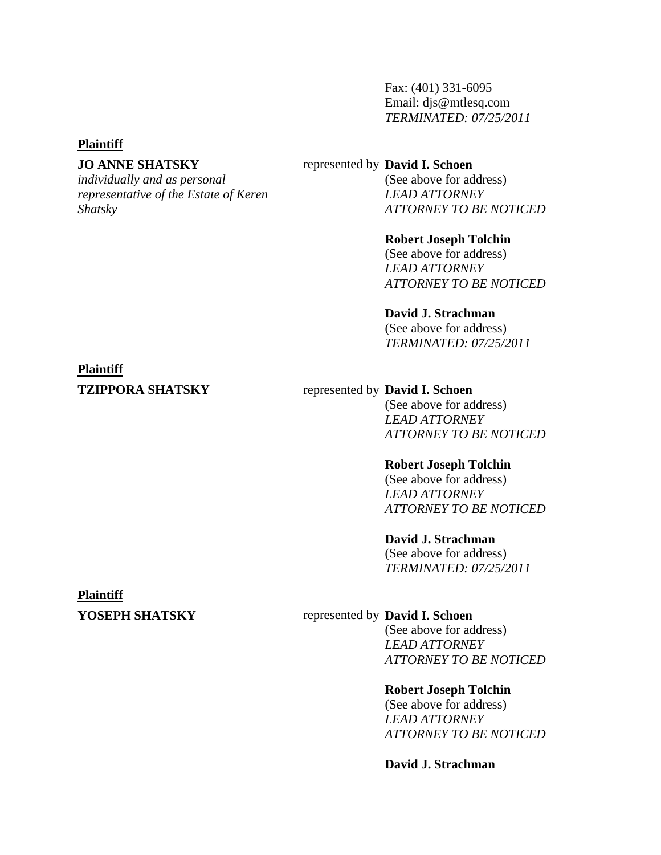Fax: (401) 331-6095 Email: djs@mtlesq.com *TERMINATED: 07/25/2011*

### **Plaintiff**

# **JO ANNE SHATSKY**

*individually and as personal representative of the Estate of Keren Shatsky*

### represented by **David I. Schoen**

(See above for address) *LEAD ATTORNEY ATTORNEY TO BE NOTICED*

### **Robert Joseph Tolchin**

(See above for address) *LEAD ATTORNEY ATTORNEY TO BE NOTICED*

## **David J. Strachman**

(See above for address) *TERMINATED: 07/25/2011*

### **Plaintiff**

## **TZIPPORA SHATSKY** represented by **David I. Schoen**

(See above for address) *LEAD ATTORNEY ATTORNEY TO BE NOTICED*

### **Robert Joseph Tolchin**

(See above for address) *LEAD ATTORNEY ATTORNEY TO BE NOTICED*

### **David J. Strachman**

(See above for address) *TERMINATED: 07/25/2011*

# **Plaintiff**

# **YOSEPH SHATSKY** represented by **David I. Schoen**

(See above for address) *LEAD ATTORNEY ATTORNEY TO BE NOTICED*

# **Robert Joseph Tolchin**

(See above for address) *LEAD ATTORNEY ATTORNEY TO BE NOTICED*

### **David J. Strachman**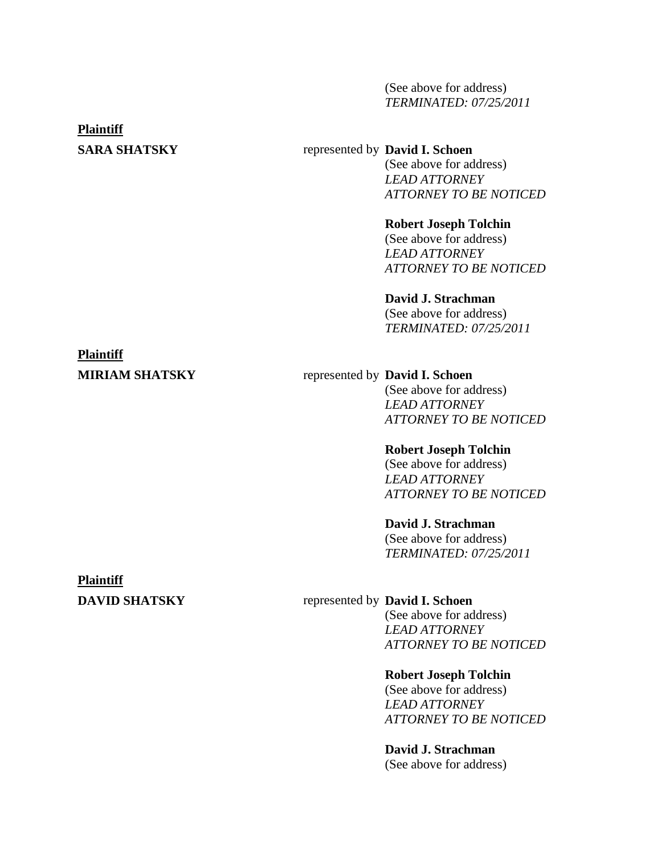(See above for address) *TERMINATED: 07/25/2011*

### **Plaintiff**

# **SARA SHATSKY** represented by **David I. Schoen**

(See above for address) *LEAD ATTORNEY ATTORNEY TO BE NOTICED*

### **Robert Joseph Tolchin**

(See above for address) *LEAD ATTORNEY ATTORNEY TO BE NOTICED*

# **David J. Strachman**

(See above for address) *TERMINATED: 07/25/2011*

# **Plaintiff**

# **MIRIAM SHATSKY** represented by **David I. Schoen**

(See above for address) *LEAD ATTORNEY ATTORNEY TO BE NOTICED*

### **Robert Joseph Tolchin**

(See above for address) *LEAD ATTORNEY ATTORNEY TO BE NOTICED*

### **David J. Strachman**

(See above for address) *TERMINATED: 07/25/2011*

# **Plaintiff**

# **DAVID SHATSKY** represented by **David I. Schoen**

(See above for address) *LEAD ATTORNEY ATTORNEY TO BE NOTICED*

### **Robert Joseph Tolchin**

(See above for address) *LEAD ATTORNEY ATTORNEY TO BE NOTICED*

# **David J. Strachman**

(See above for address)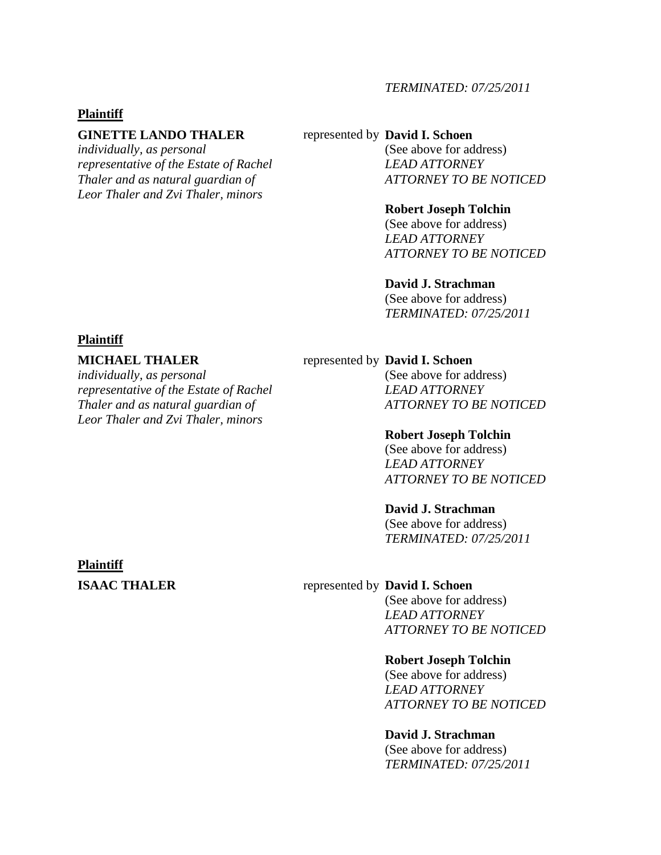## *TERMINATED: 07/25/2011*

### **Plaintiff**

### **GINETTE LANDO THALER**

*individually, as personal representative of the Estate of Rachel Thaler and as natural guardian of Leor Thaler and Zvi Thaler, minors*

### represented by **David I. Schoen**

(See above for address) *LEAD ATTORNEY ATTORNEY TO BE NOTICED*

### **Robert Joseph Tolchin**

(See above for address) *LEAD ATTORNEY ATTORNEY TO BE NOTICED*

### **David J. Strachman**

(See above for address) *TERMINATED: 07/25/2011*

### **Plaintiff**

### **MICHAEL THALER**

*individually, as personal representative of the Estate of Rachel Thaler and as natural guardian of Leor Thaler and Zvi Thaler, minors*

### represented by **David I. Schoen**

(See above for address) *LEAD ATTORNEY ATTORNEY TO BE NOTICED*

### **Robert Joseph Tolchin**

(See above for address) *LEAD ATTORNEY ATTORNEY TO BE NOTICED*

### **David J. Strachman**

(See above for address) *TERMINATED: 07/25/2011*

### **Plaintiff**

### **ISAAC THALER** represented by **David I. Schoen**

(See above for address) *LEAD ATTORNEY ATTORNEY TO BE NOTICED*

### **Robert Joseph Tolchin**

(See above for address) *LEAD ATTORNEY ATTORNEY TO BE NOTICED*

### **David J. Strachman**

(See above for address) *TERMINATED: 07/25/2011*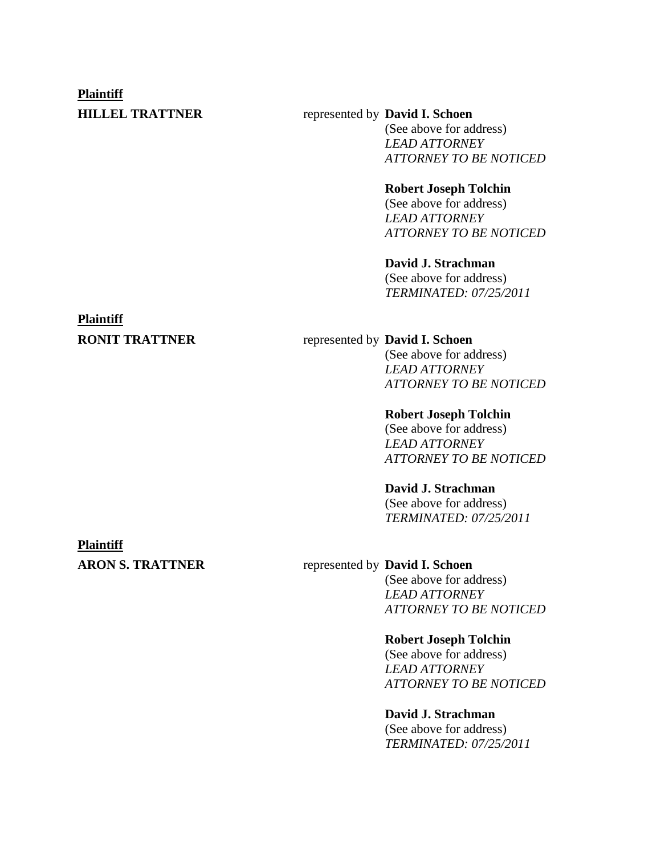# **Plaintiff**

# **HILLEL TRATTNER** represented by **David I. Schoen**

(See above for address) *LEAD ATTORNEY ATTORNEY TO BE NOTICED*

# **Robert Joseph Tolchin**

(See above for address) *LEAD ATTORNEY ATTORNEY TO BE NOTICED*

# **David J. Strachman**

(See above for address) *TERMINATED: 07/25/2011*

# **Plaintiff**

# **RONIT TRATTNER** represented by **David I. Schoen**

(See above for address) *LEAD ATTORNEY ATTORNEY TO BE NOTICED*

## **Robert Joseph Tolchin**

(See above for address) *LEAD ATTORNEY ATTORNEY TO BE NOTICED*

# **David J. Strachman**

(See above for address) *TERMINATED: 07/25/2011*

## **Plaintiff**

# **ARON S. TRATTNER** represented by **David I. Schoen**

(See above for address) *LEAD ATTORNEY ATTORNEY TO BE NOTICED*

### **Robert Joseph Tolchin**

(See above for address) *LEAD ATTORNEY ATTORNEY TO BE NOTICED*

# **David J. Strachman**

(See above for address) *TERMINATED: 07/25/2011*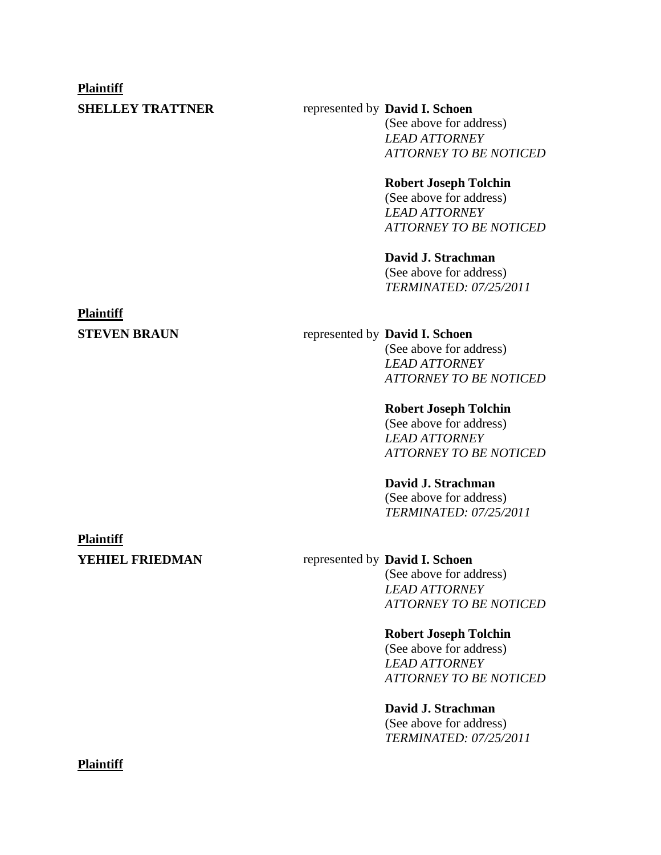### **Plaintiff**

# **SHELLEY TRATTNER** represented by **David I. Schoen**

(See above for address) *LEAD ATTORNEY ATTORNEY TO BE NOTICED*

### **Robert Joseph Tolchin**

(See above for address) *LEAD ATTORNEY ATTORNEY TO BE NOTICED*

# **David J. Strachman**

(See above for address) *TERMINATED: 07/25/2011*

# **Plaintiff**

# **STEVEN BRAUN** represented by **David I. Schoen**

(See above for address) *LEAD ATTORNEY ATTORNEY TO BE NOTICED*

### **Robert Joseph Tolchin**

(See above for address) *LEAD ATTORNEY ATTORNEY TO BE NOTICED*

# **David J. Strachman**

(See above for address) *TERMINATED: 07/25/2011*

### **Plaintiff**

# **YEHIEL FRIEDMAN** represented by **David I. Schoen**

(See above for address) *LEAD ATTORNEY ATTORNEY TO BE NOTICED*

### **Robert Joseph Tolchin**

(See above for address) *LEAD ATTORNEY ATTORNEY TO BE NOTICED*

# **David J. Strachman**

(See above for address) *TERMINATED: 07/25/2011*

### **Plaintiff**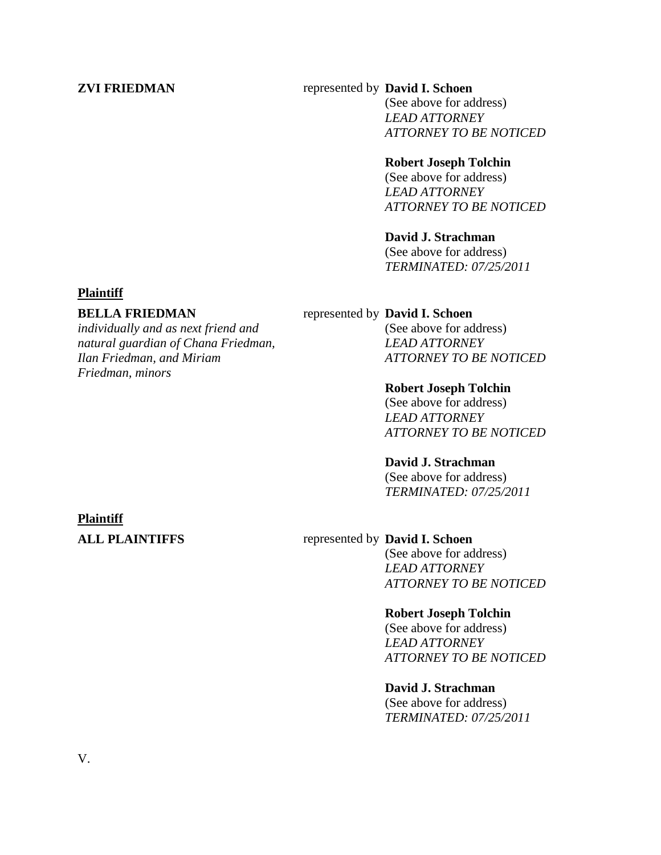# **ZVI FRIEDMAN** represented by **David I. Schoen**

(See above for address) *LEAD ATTORNEY ATTORNEY TO BE NOTICED*

## **Robert Joseph Tolchin**

(See above for address) *LEAD ATTORNEY ATTORNEY TO BE NOTICED*

# **David J. Strachman**

(See above for address) *TERMINATED: 07/25/2011*

### **Plaintiff**

### **BELLA FRIEDMAN**

*individually and as next friend and natural guardian of Chana Friedman, Ilan Friedman, and Miriam Friedman, minors*

### represented by **David I. Schoen**

(See above for address) *LEAD ATTORNEY ATTORNEY TO BE NOTICED*

### **Robert Joseph Tolchin**

(See above for address) *LEAD ATTORNEY ATTORNEY TO BE NOTICED*

### **David J. Strachman**

(See above for address) *TERMINATED: 07/25/2011*

### **Plaintiff**

## **ALL PLAINTIFFS** represented by **David I. Schoen**

(See above for address) *LEAD ATTORNEY ATTORNEY TO BE NOTICED*

### **Robert Joseph Tolchin**

(See above for address) *LEAD ATTORNEY ATTORNEY TO BE NOTICED*

### **David J. Strachman**

(See above for address) *TERMINATED: 07/25/2011*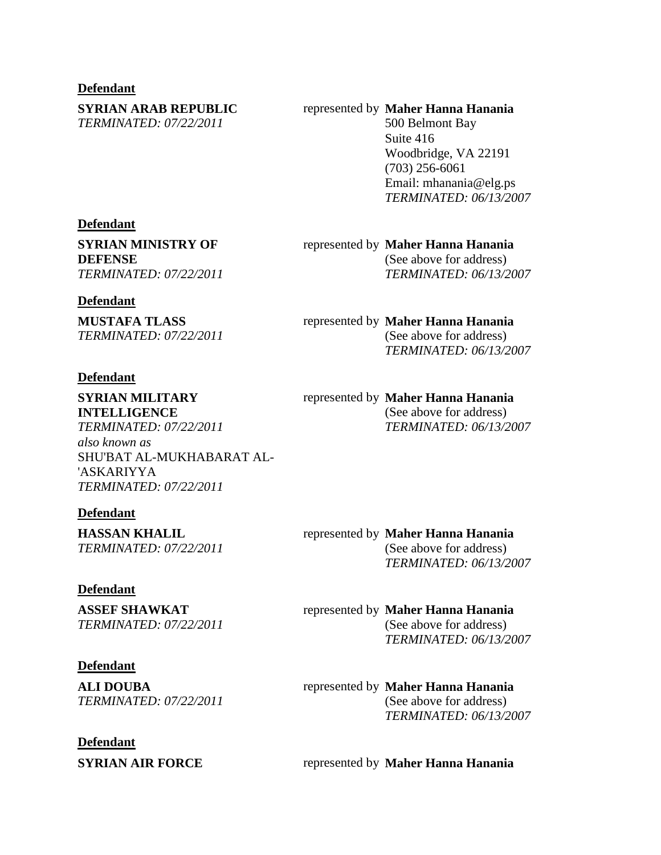### **Defendant**

**SYRIAN ARAB REPUBLIC** *TERMINATED: 07/22/2011*

### represented by **Maher Hanna Hanania**

500 Belmont Bay Suite 416 Woodbridge, VA 22191 (703) 256-6061 Email: mhanania@elg.ps *TERMINATED: 06/13/2007*

### **Defendant**

**SYRIAN MINISTRY OF DEFENSE** *TERMINATED: 07/22/2011*

### **Defendant**

**MUSTAFA TLASS** *TERMINATED: 07/22/2011*

### **Defendant**

**SYRIAN MILITARY INTELLIGENCE** *TERMINATED: 07/22/2011 also known as* SHU'BAT AL-MUKHABARAT AL- 'ASKARIYYA

### **Defendant**

**HASSAN KHALIL** *TERMINATED: 07/22/2011*

*TERMINATED: 07/22/2011*

### **Defendant**

**ASSEF SHAWKAT** *TERMINATED: 07/22/2011*

### **Defendant**

**ALI DOUBA** *TERMINATED: 07/22/2011*

# **Defendant**

# represented by **Maher Hanna Hanania**

(See above for address) *TERMINATED: 06/13/2007*

### represented by **Maher Hanna Hanania**

(See above for address) *TERMINATED: 06/13/2007*

### represented by **Maher Hanna Hanania**

(See above for address) *TERMINATED: 06/13/2007*

### represented by **Maher Hanna Hanania**

(See above for address) *TERMINATED: 06/13/2007*

### represented by **Maher Hanna Hanania**

(See above for address) *TERMINATED: 06/13/2007*

### represented by **Maher Hanna Hanania**  (See above for address) *TERMINATED: 06/13/2007*

**SYRIAN AIR FORCE** represented by **Maher Hanna Hanania**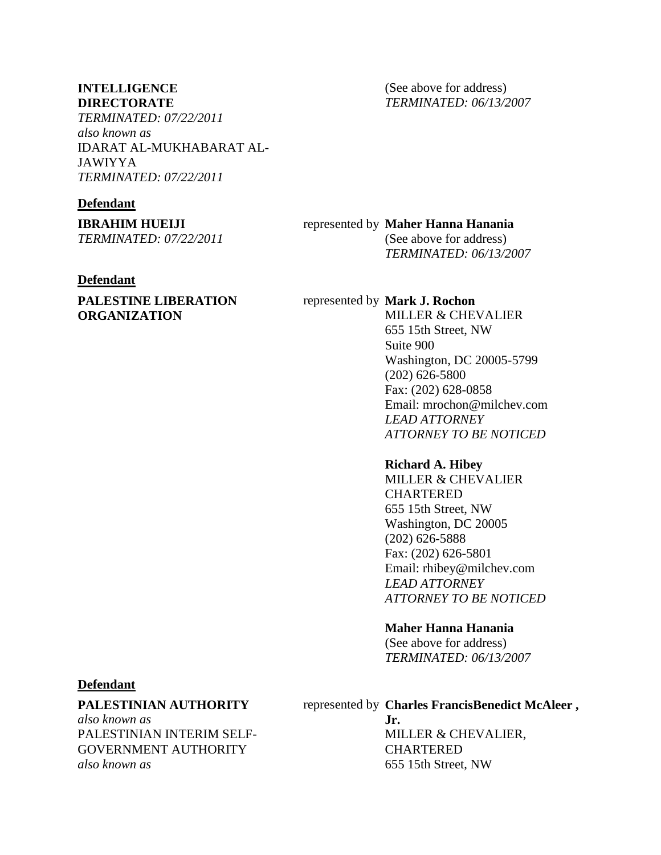### **INTELLIGENCE DIRECTORATE**

*TERMINATED: 07/22/2011 also known as* IDARAT AL-MUKHABARAT AL-JAWIYYA *TERMINATED: 07/22/2011*

## **Defendant**

**IBRAHIM HUEIJI** *TERMINATED: 07/22/2011*

### **Defendant**

# **PALESTINE LIBERATION ORGANIZATION**

(See above for address) *TERMINATED: 06/13/2007*

# represented by **Maher Hanna Hanania**

(See above for address) *TERMINATED: 06/13/2007*

### represented by **Mark J. Rochon**

MILLER & CHEVALIER 655 15th Street, NW Suite 900 Washington, DC 20005-5799 (202) 626-5800 Fax: (202) 628-0858 Email: mrochon@milchev.com *LEAD ATTORNEY ATTORNEY TO BE NOTICED*

### **Richard A. Hibey**

MILLER & CHEVALIER **CHARTERED** 655 15th Street, NW Washington, DC 20005 (202) 626-5888 Fax: (202) 626-5801 Email: rhibey@milchev.com *LEAD ATTORNEY ATTORNEY TO BE NOTICED*

### **Maher Hanna Hanania**

(See above for address) *TERMINATED: 06/13/2007*

## **Defendant**

### **PALESTINIAN AUTHORITY**

*also known as* PALESTINIAN INTERIM SELF-GOVERNMENT AUTHORITY *also known as*

# represented by **Charles FrancisBenedict McAleer ,**

**Jr.**  MILLER & CHEVALIER, CHARTERED 655 15th Street, NW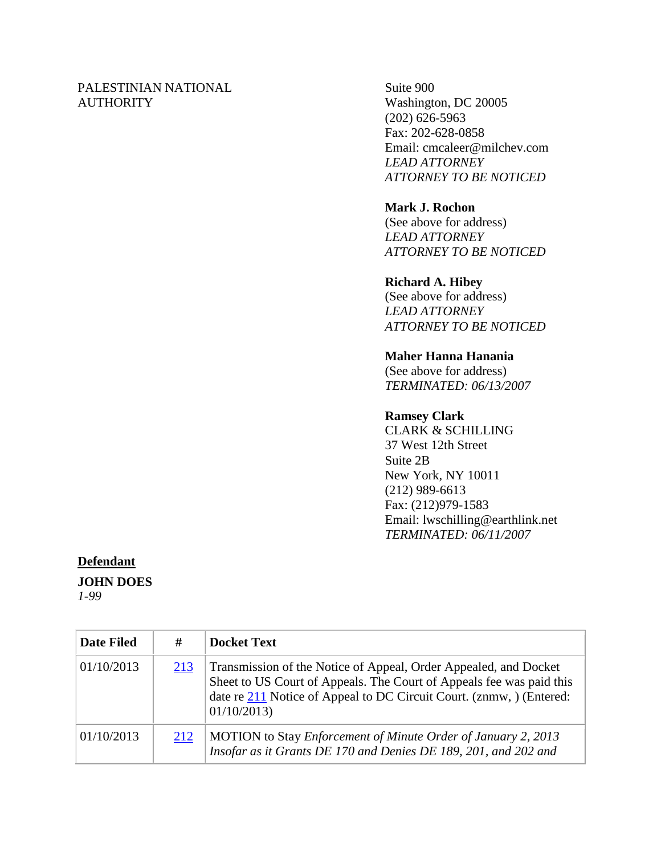# PALESTINIAN NATIONAL **AUTHORITY**

Suite 900 Washington, DC 20005 (202) 626-5963 Fax: 202-628-0858 Email: cmcaleer@milchev.com *LEAD ATTORNEY ATTORNEY TO BE NOTICED*

# **Mark J. Rochon**

(See above for address) *LEAD ATTORNEY ATTORNEY TO BE NOTICED*

# **Richard A. Hibey**

(See above for address) *LEAD ATTORNEY ATTORNEY TO BE NOTICED*

# **Maher Hanna Hanania**

(See above for address) *TERMINATED: 06/13/2007*

# **Ramsey Clark**

CLARK & SCHILLING 37 West 12th Street Suite 2B New York, NY 10011 (212) 989-6613 Fax: (212)979-1583 Email: lwschilling@earthlink.net *TERMINATED: 06/11/2007*

# **Defendant**

**JOHN DOES**

*1-99*

| <b>Date Filed</b> | #   | <b>Docket Text</b>                                                                                                                                                                                                             |
|-------------------|-----|--------------------------------------------------------------------------------------------------------------------------------------------------------------------------------------------------------------------------------|
| 01/10/2013        | 213 | Transmission of the Notice of Appeal, Order Appealed, and Docket<br>Sheet to US Court of Appeals. The Court of Appeals fee was paid this<br>date re 211 Notice of Appeal to DC Circuit Court. (znmw, ) (Entered:<br>01/10/2013 |
| 01/10/2013        | 212 | MOTION to Stay Enforcement of Minute Order of January 2, 2013<br>Insofar as it Grants DE 170 and Denies DE 189, 201, and 202 and                                                                                               |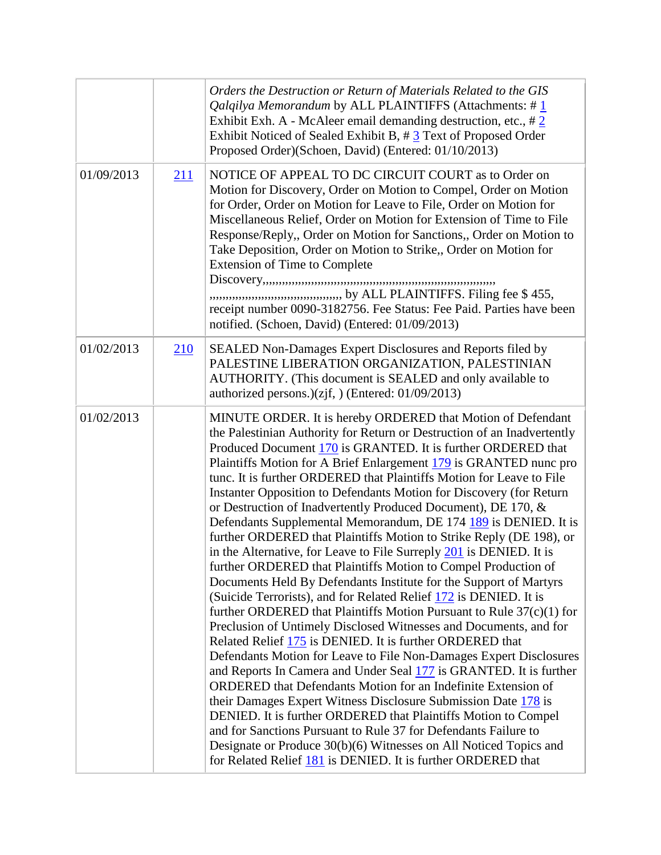|            |     | Orders the Destruction or Return of Materials Related to the GIS<br><i>Qalqilya Memorandum</i> by ALL PLAINTIFFS (Attachments: $\#$ 1<br>Exhibit Exh. A - McAleer email demanding destruction, etc., $\#\frac{2}{3}$<br>Exhibit Noticed of Sealed Exhibit B, #3 Text of Proposed Order<br>Proposed Order)(Schoen, David) (Entered: 01/10/2013)                                                                                                                                                                                                                                                                                                                                                                                                                                                                                                                                                                                                                                                                                                                                                                                                                                                                                                                                                                                                                                                                                                                                                                                                                                                                                                                                                           |
|------------|-----|----------------------------------------------------------------------------------------------------------------------------------------------------------------------------------------------------------------------------------------------------------------------------------------------------------------------------------------------------------------------------------------------------------------------------------------------------------------------------------------------------------------------------------------------------------------------------------------------------------------------------------------------------------------------------------------------------------------------------------------------------------------------------------------------------------------------------------------------------------------------------------------------------------------------------------------------------------------------------------------------------------------------------------------------------------------------------------------------------------------------------------------------------------------------------------------------------------------------------------------------------------------------------------------------------------------------------------------------------------------------------------------------------------------------------------------------------------------------------------------------------------------------------------------------------------------------------------------------------------------------------------------------------------------------------------------------------------|
| 01/09/2013 | 211 | NOTICE OF APPEAL TO DC CIRCUIT COURT as to Order on<br>Motion for Discovery, Order on Motion to Compel, Order on Motion<br>for Order, Order on Motion for Leave to File, Order on Motion for<br>Miscellaneous Relief, Order on Motion for Extension of Time to File<br>Response/Reply,, Order on Motion for Sanctions,, Order on Motion to<br>Take Deposition, Order on Motion to Strike,, Order on Motion for<br><b>Extension of Time to Complete</b><br>receipt number 0090-3182756. Fee Status: Fee Paid. Parties have been<br>notified. (Schoen, David) (Entered: 01/09/2013)                                                                                                                                                                                                                                                                                                                                                                                                                                                                                                                                                                                                                                                                                                                                                                                                                                                                                                                                                                                                                                                                                                                        |
| 01/02/2013 | 210 | SEALED Non-Damages Expert Disclosures and Reports filed by<br>PALESTINE LIBERATION ORGANIZATION, PALESTINIAN<br>AUTHORITY. (This document is SEALED and only available to<br>authorized persons.) $(zjf, )$ (Entered: 01/09/2013)                                                                                                                                                                                                                                                                                                                                                                                                                                                                                                                                                                                                                                                                                                                                                                                                                                                                                                                                                                                                                                                                                                                                                                                                                                                                                                                                                                                                                                                                        |
| 01/02/2013 |     | MINUTE ORDER. It is hereby ORDERED that Motion of Defendant<br>the Palestinian Authority for Return or Destruction of an Inadvertently<br>Produced Document 170 is GRANTED. It is further ORDERED that<br>Plaintiffs Motion for A Brief Enlargement 179 is GRANTED nunc pro<br>tunc. It is further ORDERED that Plaintiffs Motion for Leave to File<br>Instanter Opposition to Defendants Motion for Discovery (for Return<br>or Destruction of Inadvertently Produced Document), DE 170, &<br>Defendants Supplemental Memorandum, DE 174 189 is DENIED. It is<br>further ORDERED that Plaintiffs Motion to Strike Reply (DE 198), or<br>in the Alternative, for Leave to File Surreply $\frac{201}{1}$ is DENIED. It is<br>further ORDERED that Plaintiffs Motion to Compel Production of<br>Documents Held By Defendants Institute for the Support of Martyrs<br>(Suicide Terrorists), and for Related Relief 172 is DENIED. It is<br>further ORDERED that Plaintiffs Motion Pursuant to Rule $37(c)(1)$ for<br>Preclusion of Untimely Disclosed Witnesses and Documents, and for<br>Related Relief 175 is DENIED. It is further ORDERED that<br>Defendants Motion for Leave to File Non-Damages Expert Disclosures<br>and Reports In Camera and Under Seal 177 is GRANTED. It is further<br>ORDERED that Defendants Motion for an Indefinite Extension of<br>their Damages Expert Witness Disclosure Submission Date 178 is<br>DENIED. It is further ORDERED that Plaintiffs Motion to Compel<br>and for Sanctions Pursuant to Rule 37 for Defendants Failure to<br>Designate or Produce 30(b)(6) Witnesses on All Noticed Topics and<br>for Related Relief 181 is DENIED. It is further ORDERED that |